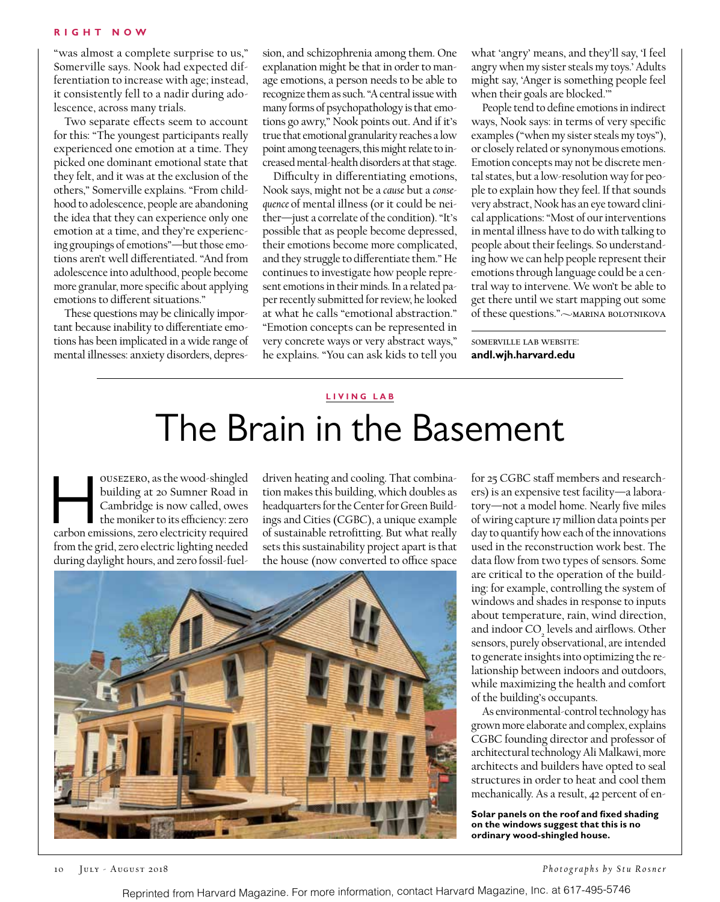"was almost a complete surprise to us," Somerville says. Nook had expected differentiation to increase with age; instead, it consistently fell to a nadir during adolescence, across many trials.

Two separate effects seem to account for this: "The youngest participants really experienced one emotion at a time. They picked one dominant emotional state that they felt, and it was at the exclusion of the others," Somerville explains. "From childhood to adolescence, people are abandoning the idea that they can experience only one emotion at a time, and they're experiencing groupings of emotions"—but those emotions aren't well differentiated. "And from adolescence into adulthood, people become more granular, more specific about applying emotions to different situations."

These questions may be clinically important because inability to differentiate emotions has been implicated in a wide range of mental illnesses: anxiety disorders, depression, and schizophrenia among them. One explanation might be that in order to manage emotions, a person needs to be able to recognize them as such. "A central issue with many forms of psychopathology is that emotions go awry," Nook points out. And if it's true that emotional granularity reaches a low point among teenagers, this might relate to increased mental-health disorders at that stage.

Difficulty in differentiating emotions, Nook says, might not be a *cause* but a *consequence* of mental illness (or it could be neither—just a correlate of the condition). "It's possible that as people become depressed, their emotions become more complicated, and they struggle to differentiate them." He continues to investigate how people represent emotions in their minds. In a related paper recently submitted for review, he looked at what he calls "emotional abstraction." "Emotion concepts can be represented in very concrete ways or very abstract ways," he explains. "You can ask kids to tell you what 'angry' means, and they'll say, 'I feel angry when my sister steals my toys.' Adults might say, 'Anger is something people feel when their goals are blocked.'"

People tend to define emotions in indirect ways, Nook says: in terms of very specific examples ("when my sister steals my toys"), or closely related or synonymous emotions. Emotion concepts may not be discrete mental states, but a low-resolution way for people to explain how they feel. If that sounds very abstract, Nook has an eye toward clinical applications: "Most of our interventions in mental illness have to do with talking to people about their feelings. So understanding how we can help people represent their emotions through language could be a central way to intervene. We won't be able to get there until we start mapping out some of these questions." $\sim$ MARINA BOLOTNIKOVA

somerville lab website: **andl.wjh.harvard.edu**

#### **LIVIN G LAB**

# The Brain in the Basement

ousezero, as the wood-shingled<br>
building at 20 Sumner Road in<br>
Cambridge is now called, owes<br>
the moniker to its efficiency: zero<br>
carbon emissions, zero electricity required building at 20 Sumner Road in Cambridge is now called, owes the moniker to its efficiency: zero from the grid, zero electric lighting needed during daylight hours, and zero fossil-fuel-

driven heating and cooling. That combination makes this building, which doubles as headquarters for the Center for Green Buildings and Cities (CGBC), a unique example of sustainable retrofitting. But what really sets this sustainability project apart is that the house (now converted to office space



for 25 CGBC staff members and researchers) is an expensive test facility—a laboratory—not a model home. Nearly five miles of wiring capture 17 million data points per day to quantify how each of the innovations used in the reconstruction work best. The data flow from two types of sensors. Some are critical to the operation of the building: for example, controlling the system of windows and shades in response to inputs about temperature, rain, wind direction, and indoor  $CO<sub>2</sub>$  levels and airflows. Other sensors, purely observational, are intended to generate insights into optimizing the relationship between indoors and outdoors, while maximizing the health and comfort of the building's occupants.

As environmental-control technology has grown more elaborate and complex, explains CGBC founding director and professor of architectural technology Ali Malkawi, more architects and builders have opted to seal structures in order to heat and cool them mechanically. As a result, 42 percent of en-

**Solar panels on the roof and fixed shading on the windows suggest that this is no ordinary wood-shingled house.**

10 July - August 2018

*Photographs by Stu Rosner*

Reprinted from Harvard Magazine. For more information, contact Harvard Magazine, Inc. at 617-495-5746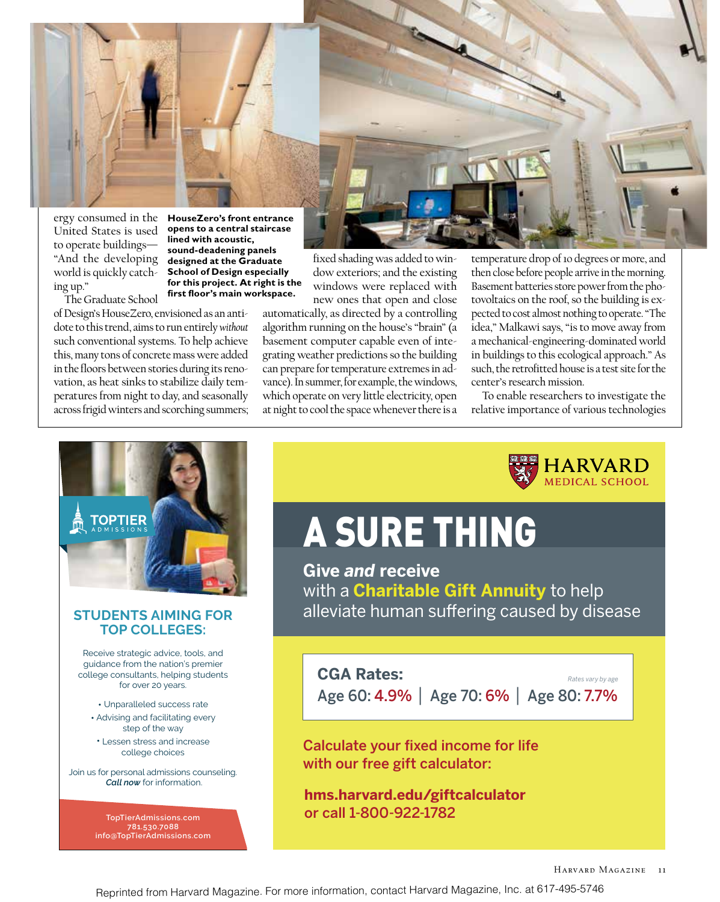

ergy consumed in the **HouseZero's front entrance**  United States is used to operate buildings— "And the developing world is quickly catching up." The Graduate School

**opens to a central staircase lined with acoustic, sound-deadening panels designed at the Graduate School of Design especially for this project. At right is the first floor's main workspace.**

of Design's HouseZero, envisioned as an antidote to this trend, aims to run entirely *without* such conventional systems. To help achieve this, many tons of concrete mass were added in the floors between stories during its renovation, as heat sinks to stabilize daily temperatures from night to day, and seasonally across frigid winters and scorching summers;



fixed shading was added to window exteriors; and the existing windows were replaced with new ones that open and close

automatically, as directed by a controlling algorithm running on the house's "brain" (a basement computer capable even of integrating weather predictions so the building can prepare for temperature extremes in advance). In summer, for example, the windows, which operate on very little electricity, open at night to cool the space whenever there is a temperature drop of 10 degrees or more, and then close before people arrive in the morning. Basement batteries store power from the photovoltaics on the roof, so the building is expected to cost almost nothing to operate. "The idea," Malkawi says, "is to move away from a mechanical-engineering-dominated world in buildings to this ecological approach." As such, the retrofitted house is a test site for the center's research mission.

To enable researchers to investigate the relative importance of various technologies

HARVARD<br>MEDICAL SCHOOL



### **STUDENTS AIMING FOR TOP COLLEGES:**

Receive strategic advice, tools, and guidance from the nation's premier college consultants, helping students for over 20 years.

• Unparalleled success rate

- Advising and facilitating every step of the way
- Lessen stress and increase college choices

Join us for personal admissions counseling. *Call now* for information.

> **TopTierAdmissions.com 781.530.7088 info@TopTierAdmissions.com**

# A SURE THING

**Give** *and* **receive**  with a **Charitable Gift Annuity** to help alleviate human suffering caused by disease

## **CGA Rates:**

Age 60: 4.9% | Age 70: 6% | Age 80: 7.7%

Calculate your fixed income for life with our free gift calculator:

**hms.harvard.edu/giftcalculator**  or call 1-800-922-1782

*Rates vary by age*

Reprinted from Harvard Magazine. For more information, contact Harvard Magazine, Inc. at 617-495-5746